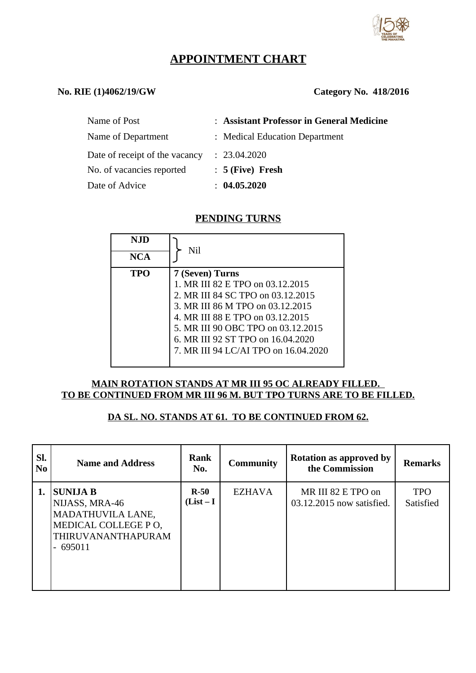

# **APPOINTMENT CHART**

## **No. RIE (1)4062/19/GW Category No. 418/2016**

| Name of Post                   | : Assistant Professor in General Medicine |
|--------------------------------|-------------------------------------------|
| Name of Department             | : Medical Education Department            |
| Date of receipt of the vacancy | : 23.04.2020                              |
| No. of vacancies reported      | $: 5$ (Five) Fresh                        |
| Date of Advice                 | : 04.05.2020                              |

## **PENDING TURNS**

| NJD        | Nil                                  |
|------------|--------------------------------------|
| <b>NCA</b> |                                      |
| TPO        | 7 (Seven) Turns                      |
|            | 1. MR III 82 E TPO on 03.12.2015     |
|            | 2. MR III 84 SC TPO on 03.12.2015    |
|            | 3. MR III 86 M TPO on 03.12.2015     |
|            | 4. MR III 88 E TPO on 03.12.2015     |
|            | 5. MR III 90 OBC TPO on 03.12.2015   |
|            | 6. MR III 92 ST TPO on 16.04.2020    |
|            | 7. MR III 94 LC/AI TPO on 16.04.2020 |
|            |                                      |

### **MAIN ROTATION STANDS AT MR III 95 OC ALREADY FILLED. TO BE CONTINUED FROM MR III 96 M. BUT TPO TURNS ARE TO BE FILLED.**

## **DA SL. NO. STANDS AT 61. TO BE CONTINUED FROM 62.**

| SI.<br>N <sub>0</sub> | <b>Name and Address</b>                                                                                          | Rank<br>No.          | <b>Community</b> | <b>Rotation as approved by</b><br>the Commission | <b>Remarks</b>          |
|-----------------------|------------------------------------------------------------------------------------------------------------------|----------------------|------------------|--------------------------------------------------|-------------------------|
| 1.                    | <b>SUNIJA B</b><br>NIJASS, MRA-46<br>MADATHUVILA LANE,<br>MEDICAL COLLEGE PO,<br>THIRUVANANTHAPURAM<br>$-695011$ | $R-50$<br>$(List-I)$ | <b>EZHAVA</b>    | MR III 82 E TPO on<br>03.12.2015 now satisfied.  | <b>TPO</b><br>Satisfied |